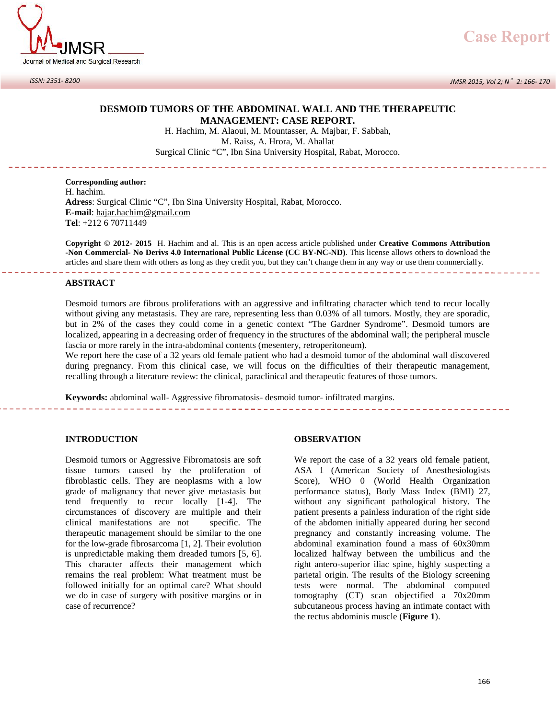

*ISSN: 2351- 8200*

# **DESMOID TUMORS OF THE ABDOMINAL WALL AND THE THERAPEUTIC MANAGEMENT: CASE REPORT.**

MORS OF THE ABDOMINAL WALL AND THE THE MANAGEMENT: CASE REPORT.<br>H. Hachim, M. Alaoui, M. Mountasser, A. Majbar, F. Sabbah, M. Raiss, A. Hrora, M. Ahallat **HE ABDOMINAL WALL ANI<br>NAGEMENT: CASE REPORT**<br>Alaoui, M. Mountasser, A. Majbar,<br>M. Raiss, A. Hrora, M. Ahallat<br>"', Ibn Sina University Hospital, Rab Surgical Clinic "C", Ibn Sina University Hospital, Rabat, Morocco.

**Corresponding author:** H. hachim. **Adress**: Surgical Clinic "C", Ibn Sina University Hospital, Rabat, Morocco. **E-mail**: hajar.hachim@gmail.com **Tel**: +212 6 70711449

**Copyright © 2012- 2015** H. Hachim and al. This is an open access article published under **Creative Commons Attribution -Non Commercial- No Derivs 4.0 International Public License (CC BY-NC-ND)**. This license allows others to download the articles and share them with others as long as they credit you, but they can't change them in any way or use them commercially. 

### **ABSTRACT**

Desmoid tumors are fibrous proliferations with an aggressive and infiltrating character which tend to recur locally without giving any metastasis. They are rare, representing less than 0.03% of all tumors. Mostly, they are sporadic, but in 2% of the cases they could come in a genetic context "The Gardner Syndrome". Desmoid tumors are localized, appearing in a decreasing order of frequency in the structures of the abdominal wall; the peripheral muscle fascia or more rarely in the intra-abdominal contents (mesentery, retroperitoneum).

We report here the case of a 32 years old female patient who had a desmoid tumor of the abdominal wall discovered during pregnancy. From this clinical case, we will focus on the difficulties of their therapeutic management, recalling through a literature review: the clinical, paraclinical and therapeutic features of those tumors.

**Keywords:** abdominal wall- Aggressive fibromatosis- desmoid tumor- infiltrated margins.

# **INTRODUCTION**

Desmoid tumors or Aggressive Fibromatosis are soft tissue tumors caused by the proliferation of fibroblastic cells. They are neoplasms with a low grade of malignancy that never give metastasis but tend frequently to recur locally [1-4]. The circumstances of discovery are multiple and their clinical manifestations are not specific. The therapeutic management should be similar to the one for the low-grade fibrosarcoma [1, 2]. Their evolution is unpredictable making them dreaded tumors [5, 6]. This character affects their management which remains the real problem: What treatment must be followed initially for an optimal care? What should we do in case of surgery with positive margins or in case of recurrence?

## **OBSERVATION**

We report the case of a 32 years old female patient, ASA 1 (American Society of Anesthesiologists Score), WHO 0 (World Health Organization performance status), Body Mass Index (BMI) 27, without any significant pathological history. The patient presents a painless induration of the right side of the abdomen initially appeared during her second pregnancy and constantly increasing volume. The abdominal examination found a mass of 60x30mm localized halfway between the umbilicus and the right antero-superior iliac spine, highly suspecting a parietal origin. The results of the Biology screening tests were normal. The abdominal computed tomography (CT) scan objectified a 70x20mm subcutaneous process having an intimate contact with the rectus abdominis muscle (**Figure 1**).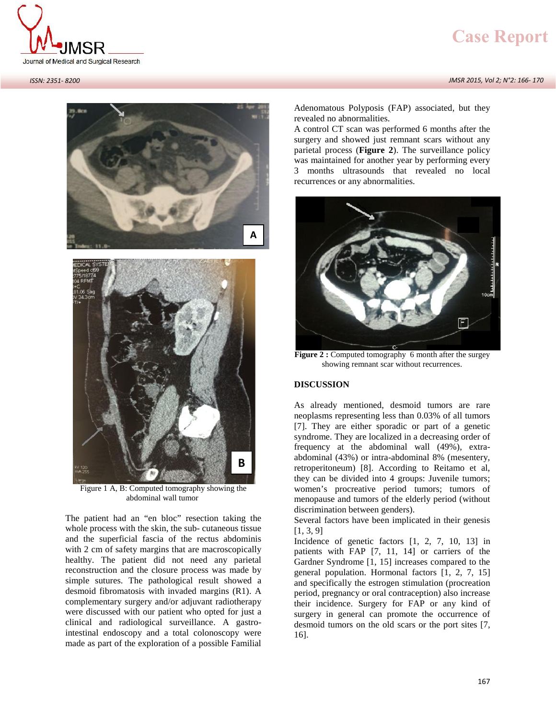







Figure 1 A, B: Computed tomography showing the abdominal wall tumor

The patient had an "en bloc" resection taking the whole process with the skin, the sub- cutaneous tissue and the superficial fascia of the rectus abdominis with 2 cm of safety margins that are macroscopically healthy. The patient did not need any parietal reconstruction and the closure process was made by simple sutures. The pathological result showed a desmoid fibromatosis with invaded margins (R1). A complementary surgery and/or adjuvant radiotherapy were discussed with our patient who opted for just a clinical and radiological surveillance. A gastrointestinal endoscopy and a total colonoscopy were made as part of the exploration of a possible Familial

Adenomatous Polyposis (FAP) associated, but they revealed no abnormalities.

A control CT scan was performed 6 months after the surgery and showed just remnant scars without any parietal process (**Figure 2**). The surveillance policy was maintained for another year by performing every 3 months ultrasounds that revealed no local recurrences or any abnormalities.



**Figure 2 :** Computed tomography 6 month after the surgey showing remnant scar without recurrences.

# **DISCUSSION**

As already mentioned, desmoid tumors are rare neoplasms representing less than 0.03% of all tumors [7]. They are either sporadic or part of a genetic syndrome. They are localized in a decreasing order of frequency at the abdominal wall (49%), extra abdominal (43%) or intra-abdominal 8% (mesentery, retroperitoneum) [8]. According to Reitamo et al, they can be divided into 4 groups: Juvenile tumors; women's procreative period tumors; tumors of menopause and tumors of the elderly period (without discrimination between genders).

Several factors have been implicated in their genesis [1, 3, 9]

Incidence of genetic factors [1, 2, 7, 10, 13] in patients with FAP [7, 11, 14] or carriers of the Gardner Syndrome [1,15] increases compared to the general population. Hormonal factors [1, 2, 7, 15] and specifically the estrogen stimulation (procreation period, pregnancy or oral contraception) also increase their incidence. Surgery for FAP or any kind of surgery in general can promote the occurrence of desmoid tumors on the old scars or the port sites [7, 16].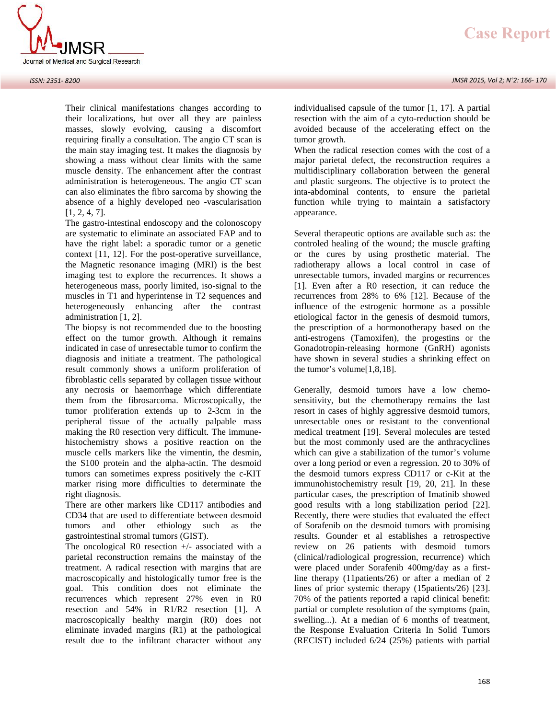

Their clinical manifestations changes according to their localizations, but over all they are painless masses, slowly evolving, causing a discomfort requiring finally a consultation. The angio CT scan is the main stay imaging test. It makes the diagnosis by showing a mass without clear limits with the same muscle density. The enhancement after the contrast administration is heterogeneous. The angio CT scan can also eliminates the fibro sarcoma by showing the absence of a highly developed neo -vascularisation [1, 2, 4, 7].

The gastro-intestinal endoscopy and the colonoscopy are systematic to eliminate an associated FAP and to have the right label: a sporadic tumor or a genetic context [11, 12]. For the post-operative surveillance, the Magnetic resonance imaging (MRI) is the best imaging test to explore the recurrences. It shows a heterogeneous mass, poorly limited, iso-signal to the muscles in T1 and hyperintense in T2 sequences and heterogeneously enhancing after the contrast administration [1, 2].

The biopsy is not recommended due to the boosting effect on the tumor growth. Although it remains indicated in case of unresectable tumor to confirm the diagnosis and initiate a treatment. The pathological result commonly shows a uniform proliferation of fibroblastic cells separated by collagen tissue without any necrosis or haemorrhage which differentiate them from the fibrosarcoma. Microscopically, the tumor proliferation extends up to 2-3cm in the peripheral tissue of the actually palpable mass making the R0 resection very difficult. The immune histochemistry shows a positive reaction on the muscle cells markers like the vimentin, the desmin, the S100 protein and the alpha-actin. The desmoid tumors can sometimes express positively the c-KIT marker rising more difficulties to determinate the right diagnosis.

There are other markers like CD117 antibodies and CD34 that are used to differentiate between desmoid tumors and other ethiology such as the gastrointestinal stromal tumors (GIST).

The oncological R0 resection  $+/-$  associated with a parietal reconstruction remains the mainstay of the treatment. A radical resection with margins that are macroscopically and histologically tumor free is the goal. This condition does not eliminate the recurrences which represent 27% even in R0 resection and 54% in R1/R2 resection [1]. A macroscopically healthy margin (R0) does not eliminate invaded margins (R1) at the pathological result due to the infiltrant character without any individualised capsule of the tumor [1, 17]. A partial resection with the aim of a cyto-reduction should be avoided because of the accelerating effect on the tumor growth.

When the radical resection comes with the cost of a major parietal defect, the reconstruction requires a multidisciplinary collaboration between the general and plastic surgeons. The objective is to protect the inta-abdominal contents, to ensure the parietal function while trying to maintain a satisfactory appearance.

Several therapeutic options are available such as: the controled healing of the wound; the muscle grafting or the cures by using prosthetic material. The radiotherapy allows a local control in case of unresectable tumors, invaded margins or recurrences [1]. Even after a R0 resection, it can reduce the recurrences from 28% to 6% [12]. Because of the influence of the estrogenic hormone as a possible etiological factor in the genesis of desmoid tumors, the prescription of a hormonotherapy based on the anti-estrogens (Tamoxifen), the progestins or the Gonadotropin-releasing hormone (GnRH) agonists have shown in several studies a shrinking effect on the tumor's volume[1,8,18].

Generally, desmoid tumors have a low chemo sensitivity, but the chemotherapy remains the last resort in cases of highly aggressive desmoid tumors, unresectable ones or resistant to the conventional medical treatment [19]. Several molecules are tested but the most commonly used are the anthracyclines which can give a stabilization of the tumor's volume over a long period or even a regression. 20 to 30% of the desmoid tumors express CD117 or c-Kit at the immunohistochemistry result [19, 20, 21]. In these particular cases, the prescription of Imatinib showed good results with a long stabilization period [22]. Recently, there were studies that evaluated the effect of Sorafenib on the desmoid tumors with promising results. Gounder et al establishes a retrospective review on 26 patients with desmoid tumors (clinical/radiological progression, recurrence) which were placed under Sorafenib 400mg/day as a firstline therapy (11patients/26) or after a median of 2 lines of prior systemic therapy (15patients/26) [23]. 70% of the patients reported a rapid clinical benefit: partial or complete resolution of the symptoms (pain, swelling...). At a median of 6 months of treatment, the Response Evaluation Criteria In Solid Tumors (RECIST) included 6/24 (25%) patients with partial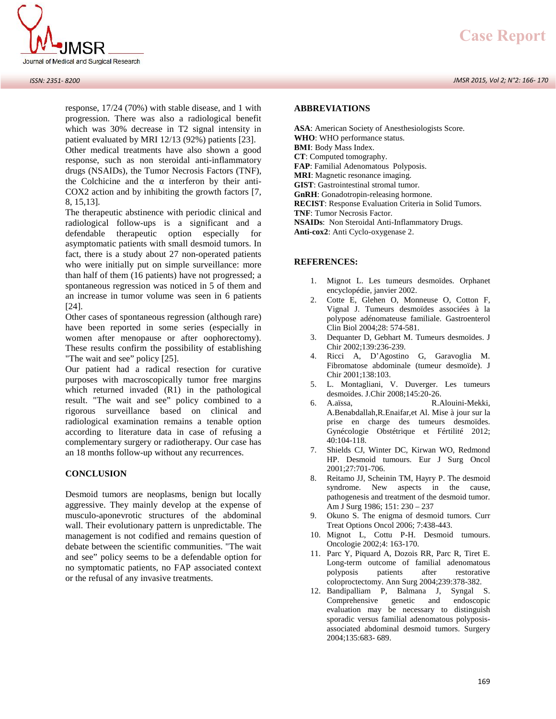

 *JMSR 2015, Vol 2; N°2: 166- 170*



response, 17/24 (70%) with stable disease, and 1 with progression. There was also a radiological benefit which was 30% decrease in T2 signal intensity in patient evaluated by MRI 12/13 (92%) patients [23].

Other medical treatments have also shown a good response, such as non steroidal anti-inflammatory drugs (NSAIDs), the Tumor Necrosis Factors (TNF), the Colchicine and the interferon by their anti-COX2 action and by inhibiting the growth factors [7, 8, 15,13].

The therapeutic abstinence with periodic clinical and radiological follow-ups is a significant and a defendable therapeutic option especially for asymptomatic patients with small desmoid tumors. In fact, there is a study about 27 non-operated patients who were initially put on simple surveillance: more than half of them (16 patients) have not progressed; a spontaneous regression was noticed in 5 of them and an increase in tumor volume was seen in 6 patients [24].

Other cases of spontaneous regression (although rare) have been reported in some series (especially in women after menopause or after oophorectomy). These results confirm the possibility of establishing "The wait and see" policy [25].

Our patient had a radical resection for curative purposes with macroscopically tumor free margins which returned invaded (R1) in the pathological result. "The wait and see" policy combined to a rigorous surveillance based on clinical and radiological examination remains a tenable option according to literature data in case of refusing a complementary surgery or radiotherapy. Our case has an 18 months follow-up without any recurrences.

#### **CONCLUSION**

Desmoid tumors are neoplasms, benign but locally aggressive. They mainly develop at the expense of musculo-aponevrotic structures of the abdominal wall. Their evolutionary pattern is unpredictable. The management is not codified and remains question of debate between the scientific communities. "The wait and see" policy seems to be a defendable option for no symptomatic patients, no FAP associated context or the refusal of any invasive treatments.

#### **ABBREVIATIONS**

**ASA**: American Society of Anesthesiologists Score. **WHO**: WHO performance status. **BMI**: Body Mass Index. **CT**: Computed tomography. **FAP**: Familial Adenomatous Polyposis. **MRI**: Magnetic resonance imaging. **GIST**: Gastrointestinal stromal tumor. **GnRH**: Gonadotropin-releasing hormone. **RECIST**: Response Evaluation Criteria in Solid Tumors. **TNF**: Tumor Necrosis Factor. **NSAIDs**: Non Steroidal Anti-Inflammatory Drugs. **Anti-cox2**: Anti Cyclo-oxygenase 2.

#### **REFERENCES:**

- 1. Mignot L. Les tumeurs desmoïdes. Orphanet encyclopédie, janvier 2002.
- 2. Cotte E, Glehen O, Monneuse O, Cotton F, Vignal J. Tumeurs desmoïdes associées à la polypose adénomateuse familiale. Gastroenterol Clin Biol 2004;28: 574-581.
- 3. Dequanter D, Gebhart M. Tumeurs desmoïdes. J Chir 2002;139:236-239.
- 4. Ricci A, D'Agostino G, Garavoglia M. Fibromatose abdominale (tumeur desmoïde). J Chir 2001;138:103.
- 5. L. Montagliani, V. Duverger. Les tumeurs desmoïdes. J.Chir 2008;145:20-26.
- 6. A.aïssa, R.Alouini-Mekki, A.Benabdallah,R.Enaifar,et Al. Mise à jour sur la prise en charge des tumeurs desmoïdes. Gynécologie Obstétrique et Fértilité 2012; 40:104-118.
- 7. Shields CJ, Winter DC, Kirwan WO, Redmond HP. Desmoid tumours. Eur J Surg Oncol 2001;27:701-706.
- 8. Reitamo JJ, Scheinin TM, Hayry P. The desmoid syndrome. New aspects in the cause, pathogenesis and treatment of the desmoid tumor. Am J Surg 1986; 151: 230 – 237
- 9. Okuno S. The enigma of desmoid tumors. Curr Treat Options Oncol 2006; 7:438-443.
- 10. Mignot L, Cottu P-H. Desmoid tumours. Oncologie 2002;4: 163-170.
- 11. Parc Y, Piquard A, Dozois RR, Parc R, Tiret E. Long-term outcome of familial adenomatous polyposis patients after restorative coloproctectomy. Ann Surg 2004;239:378-382.
- 12. Bandipalliam P, Balmana J, Syngal S. Comprehensive genetic and endoscopic evaluation may be necessary to distinguish sporadic versus familial adenomatous polyposis associated abdominal desmoid tumors. Surgery 2004;135:683- 689.